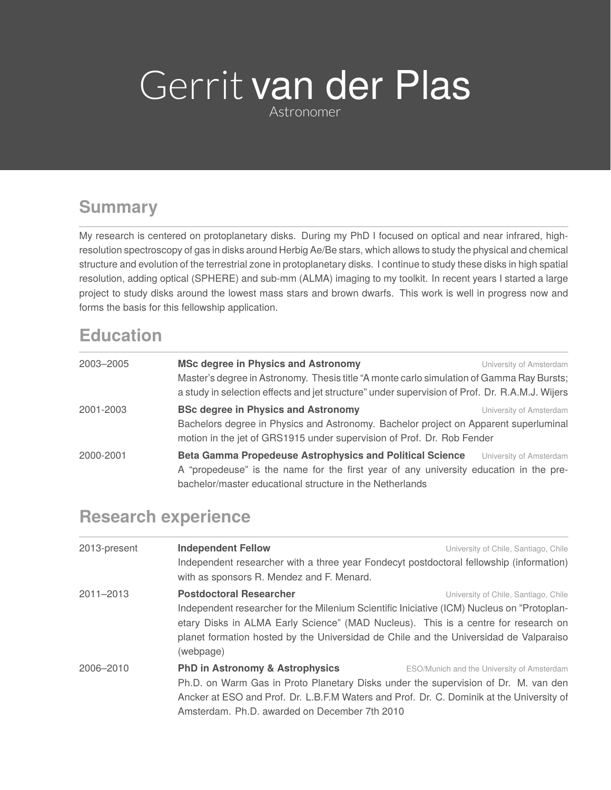# Gerrit van der Plas

Astronomer

## **Summary**

My research is centered on protoplanetary disks. During my PhD I focused on optical and near infrared, highresolution spectroscopy of gas in disks around Herbig Ae/Be stars, which allows to study the physical and chemical structure and evolution of the terrestrial zone in protoplanetary disks. I continue to study these disks in high spatial resolution, adding optical (SPHERE) and sub-mm (ALMA) imaging to my toolkit. In recent years I started a large project to study disks around the lowest mass stars and brown dwarfs. This work is well in progress now and forms the basis for this fellowship application.

### **Education**

| 2003-2005 | <b>MSc degree in Physics and Astronomy</b>                                                                                                                                                  | University of Amsterdam |
|-----------|---------------------------------------------------------------------------------------------------------------------------------------------------------------------------------------------|-------------------------|
|           | Master's degree in Astronomy. Thesis title "A monte carlo simulation of Gamma Ray Bursts;<br>a study in selection effects and jet structure" under supervision of Prof. Dr. R.A.M.J. Wijers |                         |
| 2001-2003 | <b>BSc degree in Physics and Astronomy</b>                                                                                                                                                  | University of Amsterdam |
|           | Bachelors degree in Physics and Astronomy. Bachelor project on Apparent superluminal                                                                                                        |                         |
|           | motion in the jet of GRS1915 under supervision of Prof. Dr. Rob Fender                                                                                                                      |                         |
| 2000-2001 | <b>Beta Gamma Propedeuse Astrophysics and Political Science</b>                                                                                                                             | University of Amsterdam |
|           | A "propedeuse" is the name for the first year of any university education in the pre-                                                                                                       |                         |
|           | bachelor/master educational structure in the Netherlands                                                                                                                                    |                         |

#### **Research experience**

| 2013-present | <b>Independent Fellow</b>                                                                  | University of Chile, Santiago, Chile       |  |
|--------------|--------------------------------------------------------------------------------------------|--------------------------------------------|--|
|              | Independent researcher with a three year Fondecyt postdoctoral fellowship (information)    |                                            |  |
|              | with as sponsors R. Mendez and F. Menard.                                                  |                                            |  |
| 2011-2013    | <b>Postdoctoral Researcher</b>                                                             | University of Chile, Santiago, Chile       |  |
|              | Independent researcher for the Milenium Scientific Iniciative (ICM) Nucleus on "Protoplan- |                                            |  |
|              | etary Disks in ALMA Early Science" (MAD Nucleus). This is a centre for research on         |                                            |  |
|              | planet formation hosted by the Universidad de Chile and the Universidad de Valparaiso      |                                            |  |
|              | (webpage)                                                                                  |                                            |  |
| 2006-2010    | <b>PhD in Astronomy &amp; Astrophysics</b>                                                 | ESO/Munich and the University of Amsterdam |  |
|              | Ph.D. on Warm Gas in Proto Planetary Disks under the supervision of Dr. M. van den         |                                            |  |
|              | Ancker at ESO and Prof. Dr. L.B.F.M Waters and Prof. Dr. C. Dominik at the University of   |                                            |  |
|              | Amsterdam, Ph.D. awarded on December 7th 2010                                              |                                            |  |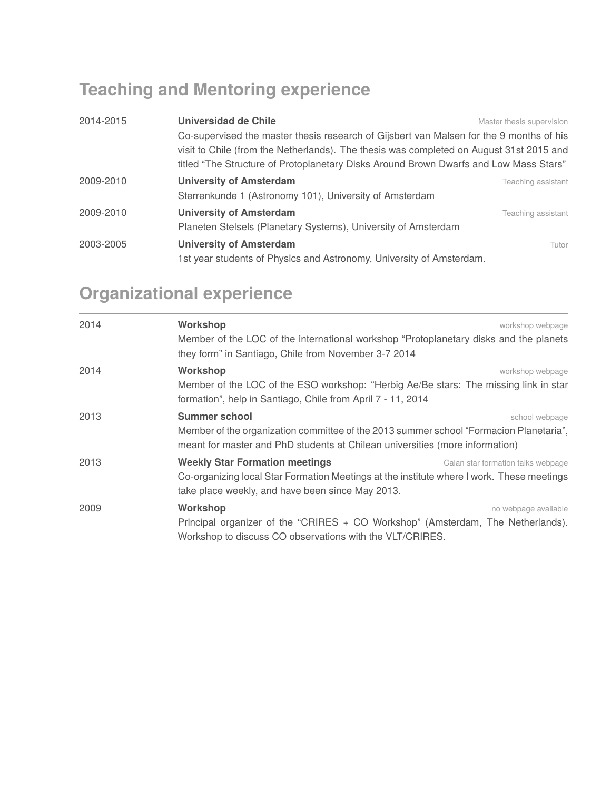## **Teaching and Mentoring experience**

| 2014-2015 | Universidad de Chile<br>Co-supervised the master thesis research of Gijsbert van Malsen for the 9 months of his<br>visit to Chile (from the Netherlands). The thesis was completed on August 31st 2015 and<br>titled "The Structure of Protoplanetary Disks Around Brown Dwarfs and Low Mass Stars" | Master thesis supervision |
|-----------|-----------------------------------------------------------------------------------------------------------------------------------------------------------------------------------------------------------------------------------------------------------------------------------------------------|---------------------------|
| 2009-2010 | <b>University of Amsterdam</b><br>Sterrenkunde 1 (Astronomy 101), University of Amsterdam                                                                                                                                                                                                           | Teaching assistant        |
| 2009-2010 | <b>University of Amsterdam</b><br>Planeten Stelsels (Planetary Systems), University of Amsterdam                                                                                                                                                                                                    | Teaching assistant        |
| 2003-2005 | <b>University of Amsterdam</b><br>1st year students of Physics and Astronomy, University of Amsterdam.                                                                                                                                                                                              | Tutor                     |

# **Organizational experience**

| 2014 | Workshop<br>Member of the LOC of the international workshop "Protoplanetary disks and the planets"<br>they form" in Santiago, Chile from November 3-7 2014                                                       | workshop webpage                   |
|------|------------------------------------------------------------------------------------------------------------------------------------------------------------------------------------------------------------------|------------------------------------|
| 2014 | Workshop<br>Member of the LOC of the ESO workshop: "Herbig Ae/Be stars: The missing link in star<br>formation", help in Santiago, Chile from April 7 - 11, 2014                                                  | workshop webpage                   |
| 2013 | <b>Summer school</b><br>school webpage<br>Member of the organization committee of the 2013 summer school "Formacion Planetaria",<br>meant for master and PhD students at Chilean universities (more information) |                                    |
| 2013 | <b>Weekly Star Formation meetings</b><br>Co-organizing local Star Formation Meetings at the institute where I work. These meetings<br>take place weekly, and have been since May 2013.                           | Calan star formation talks webpage |
| 2009 | Workshop<br>Principal organizer of the "CRIRES + CO Workshop" (Amsterdam, The Netherlands).<br>Workshop to discuss CO observations with the VLT/CRIRES.                                                          | no webpage available               |